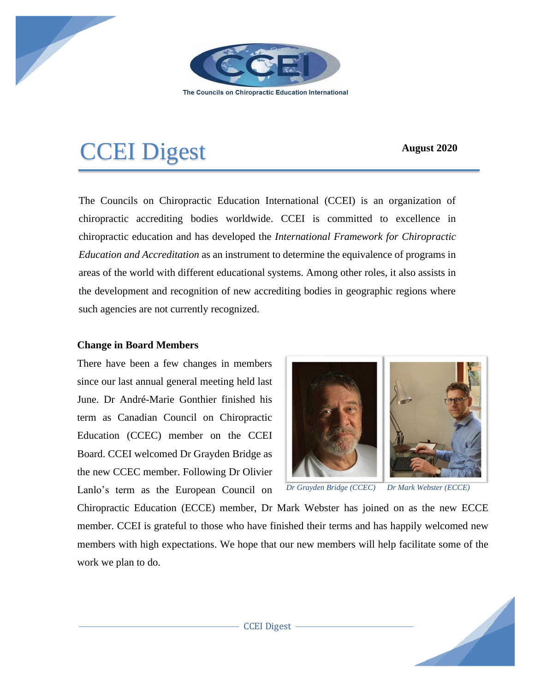

The Councils on Chiropractic Education International

# CCEI Digest **August 2020**

The Councils on Chiropractic Education International (CCEI) is an organization of chiropractic accrediting bodies worldwide. CCEI is committed to excellence in chiropractic education and has developed the *International Framework for Chiropractic Education and Accreditation* as an instrument to determine the equivalence of programs in areas of the world with different educational systems. Among other roles, it also assists in the development and recognition of new accrediting bodies in geographic regions where such agencies are not currently recognized.

## **Change in Board Members**

There have been a few changes in members since our last annual general meeting held last June. Dr André-Marie Gonthier finished his term as Canadian Council on Chiropractic Education (CCEC) member on the CCEI Board. CCEI welcomed Dr Grayden Bridge as the new CCEC member. Following Dr Olivier Lanlo's term as the European Council on



*Dr Grayden Bridge (CCEC) Dr Mark Webster (ECCE)*

Chiropractic Education (ECCE) member, Dr Mark Webster has joined on as the new ECCE member. CCEI is grateful to those who have finished their terms and has happily welcomed new members with high expectations. We hope that our new members will help facilitate some of the work we plan to do.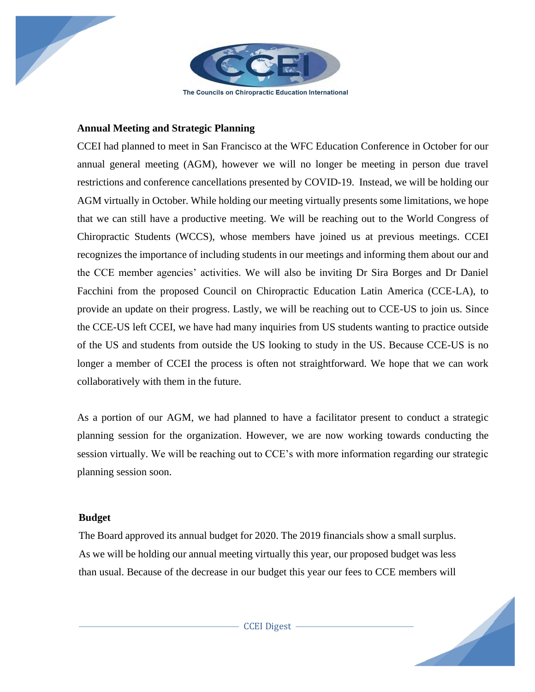

#### **Annual Meeting and Strategic Planning**

CCEI had planned to meet in San Francisco at the WFC Education Conference in October for our annual general meeting (AGM), however we will no longer be meeting in person due travel restrictions and conference cancellations presented by COVID-19. Instead, we will be holding our AGM virtually in October. While holding our meeting virtually presents some limitations, we hope that we can still have a productive meeting. We will be reaching out to the World Congress of Chiropractic Students (WCCS), whose members have joined us at previous meetings. CCEI recognizes the importance of including students in our meetings and informing them about our and the CCE member agencies' activities. We will also be inviting Dr Sira Borges and Dr Daniel Facchini from the proposed Council on Chiropractic Education Latin America (CCE-LA), to provide an update on their progress. Lastly, we will be reaching out to CCE-US to join us. Since the CCE-US left CCEI, we have had many inquiries from US students wanting to practice outside of the US and students from outside the US looking to study in the US. Because CCE-US is no longer a member of CCEI the process is often not straightforward. We hope that we can work collaboratively with them in the future.

As a portion of our AGM, we had planned to have a facilitator present to conduct a strategic planning session for the organization. However, we are now working towards conducting the session virtually. We will be reaching out to CCE's with more information regarding our strategic planning session soon.

#### **Budget**

The Board approved its annual budget for 2020. The 2019 financials show a small surplus. As we will be holding our annual meeting virtually this year, our proposed budget was less than usual. Because of the decrease in our budget this year our fees to CCE members will